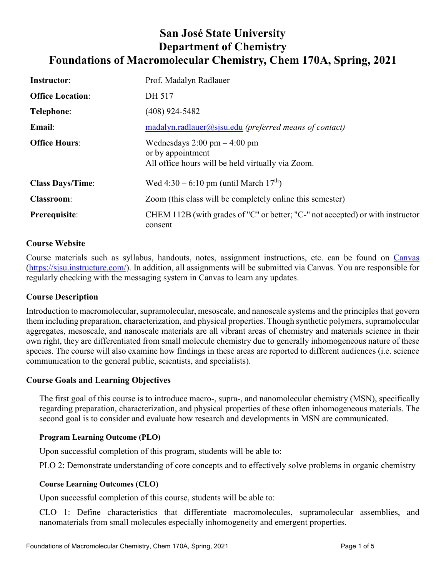# **San José State University Department of Chemistry Foundations of Macromolecular Chemistry, Chem 170A, Spring, 2021**

| <b>Instructor:</b>      | Prof. Madalyn Radlauer                                                                                                   |
|-------------------------|--------------------------------------------------------------------------------------------------------------------------|
| <b>Office Location:</b> | DH 517                                                                                                                   |
| Telephone:              | $(408)$ 924-5482                                                                                                         |
| Email:                  | $madalyn.radlauer@sisu.edu (preferred means of contact)$                                                                 |
| <b>Office Hours:</b>    | Wednesdays $2:00 \text{ pm} - 4:00 \text{ pm}$<br>or by appointment<br>All office hours will be held virtually via Zoom. |
| <b>Class Days/Time:</b> | Wed 4:30 – 6:10 pm (until March $17^{th}$ )                                                                              |
| <b>Classroom:</b>       | Zoom (this class will be completely online this semester)                                                                |
| Prerequisite:           | CHEM 112B (with grades of "C" or better; "C-" not accepted) or with instructor<br>consent                                |

# **Course Website**

Course materials such as syllabus, handouts, notes, assignment instructions, etc. can be found on [Canvas](https://sjsu.instructure.com/) [\(https://sjsu.instructure.com/\)](https://sjsu.instructure.com/). In addition, all assignments will be submitted via Canvas. You are responsible for regularly checking with the messaging system in Canvas to learn any updates.

## **Course Description**

Introduction to macromolecular, supramolecular, mesoscale, and nanoscale systems and the principles that govern them including preparation, characterization, and physical properties. Though synthetic polymers, supramolecular aggregates, mesoscale, and nanoscale materials are all vibrant areas of chemistry and materials science in their own right, they are differentiated from small molecule chemistry due to generally inhomogeneous nature of these species. The course will also examine how findings in these areas are reported to different audiences (i.e. science communication to the general public, scientists, and specialists).

## **Course Goals and Learning Objectives**

The first goal of this course is to introduce macro-, supra-, and nanomolecular chemistry (MSN), specifically regarding preparation, characterization, and physical properties of these often inhomogeneous materials. The second goal is to consider and evaluate how research and developments in MSN are communicated.

#### **Program Learning Outcome (PLO)**

Upon successful completion of this program, students will be able to:

PLO 2: Demonstrate understanding of core concepts and to effectively solve problems in organic chemistry

#### **Course Learning Outcomes (CLO)**

Upon successful completion of this course, students will be able to:

CLO 1: Define characteristics that differentiate macromolecules, supramolecular assemblies, and nanomaterials from small molecules especially inhomogeneity and emergent properties.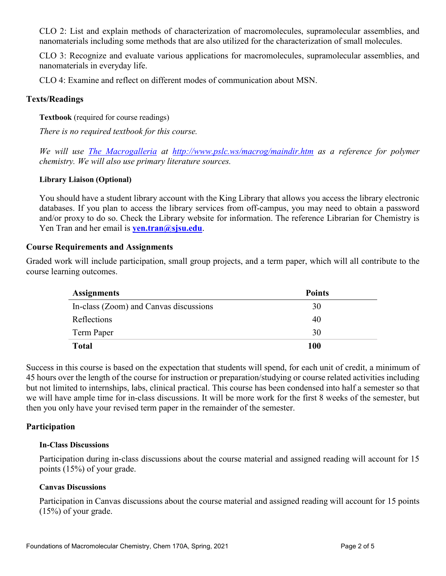CLO 2: List and explain methods of characterization of macromolecules, supramolecular assemblies, and nanomaterials including some methods that are also utilized for the characterization of small molecules.

CLO 3: Recognize and evaluate various applications for macromolecules, supramolecular assemblies, and nanomaterials in everyday life.

CLO 4: Examine and reflect on different modes of communication about MSN.

## **Texts/Readings**

**Textbook** (required for course readings)

*There is no required textbook for this course.* 

*We will use [The Macrogalleria](http://www.pslc.ws/macrog/maindir.htm) at <http://www.pslc.ws/macrog/maindir.htm> as a reference for polymer chemistry. We will also use primary literature sources.*

## **Library Liaison (Optional)**

You should have a student library account with the King Library that allows you access the library electronic databases. If you plan to access the library services from off-campus, you may need to obtain a password and/or proxy to do so. Check the Library website for information. The reference Librarian for Chemistry is Yen Tran and her email is **[yen.tran@sjsu.edu](mailto:yen.tran@sjsu.edu)**.

## **Course Requirements and Assignments**

Graded work will include participation, small group projects, and a term paper, which will all contribute to the course learning outcomes.

| <b>Assignments</b>                     | <b>Points</b> |
|----------------------------------------|---------------|
| In-class (Zoom) and Canvas discussions | 30            |
| Reflections                            | 40            |
| Term Paper                             | 30            |
| <b>Total</b>                           | 100           |

Success in this course is based on the expectation that students will spend, for each unit of credit, a minimum of 45 hours over the length of the course for instruction or preparation/studying or course related activities including but not limited to internships, labs, clinical practical. This course has been condensed into half a semester so that we will have ample time for in-class discussions. It will be more work for the first 8 weeks of the semester, but then you only have your revised term paper in the remainder of the semester.

## **Participation**

#### **In-Class Discussions**

Participation during in-class discussions about the course material and assigned reading will account for 15 points (15%) of your grade.

## **Canvas Discussions**

Participation in Canvas discussions about the course material and assigned reading will account for 15 points (15%) of your grade.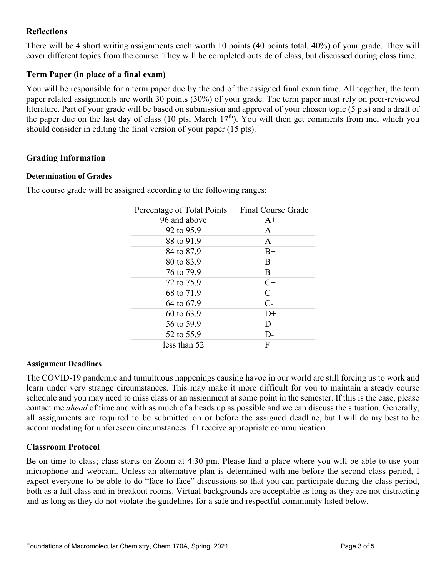# **Reflections**

There will be 4 short writing assignments each worth 10 points (40 points total, 40%) of your grade. They will cover different topics from the course. They will be completed outside of class, but discussed during class time.

# **Term Paper (in place of a final exam)**

You will be responsible for a term paper due by the end of the assigned final exam time. All together, the term paper related assignments are worth 30 points (30%) of your grade. The term paper must rely on peer-reviewed literature. Part of your grade will be based on submission and approval of your chosen topic (5 pts) and a draft of the paper due on the last day of class (10 pts, March  $17<sup>th</sup>$ ). You will then get comments from me, which you should consider in editing the final version of your paper (15 pts).

# **Grading Information**

#### **Determination of Grades**

The course grade will be assigned according to the following ranges:

| Percentage of Total Points | Final Course Grade |
|----------------------------|--------------------|
| 96 and above               | $A+$               |
| 92 to 95.9                 | $\mathsf{A}$       |
| 88 to 91.9                 | $A -$              |
| 84 to 87.9                 | $B+$               |
| 80 to 83.9                 | B                  |
| 76 to 79.9                 | $B -$              |
| 72 to 75.9                 | $C+$               |
| 68 to 71.9                 | C                  |
| 64 to 67.9                 | $C-$               |
| 60 to 63.9                 | $D+$               |
| 56 to 59.9                 | D                  |
| 52 to 55.9                 | D-                 |
| less than 52               | F                  |

## **Assignment Deadlines**

The COVID-19 pandemic and tumultuous happenings causing havoc in our world are still forcing us to work and learn under very strange circumstances. This may make it more difficult for you to maintain a steady course schedule and you may need to miss class or an assignment at some point in the semester. If this is the case, please contact me *ahead* of time and with as much of a heads up as possible and we can discuss the situation. Generally, all assignments are required to be submitted on or before the assigned deadline, but I will do my best to be accommodating for unforeseen circumstances if I receive appropriate communication.

## **Classroom Protocol**

Be on time to class; class starts on Zoom at 4:30 pm. Please find a place where you will be able to use your microphone and webcam. Unless an alternative plan is determined with me before the second class period, I expect everyone to be able to do "face-to-face" discussions so that you can participate during the class period, both as a full class and in breakout rooms. Virtual backgrounds are acceptable as long as they are not distracting and as long as they do not violate the guidelines for a safe and respectful community listed below.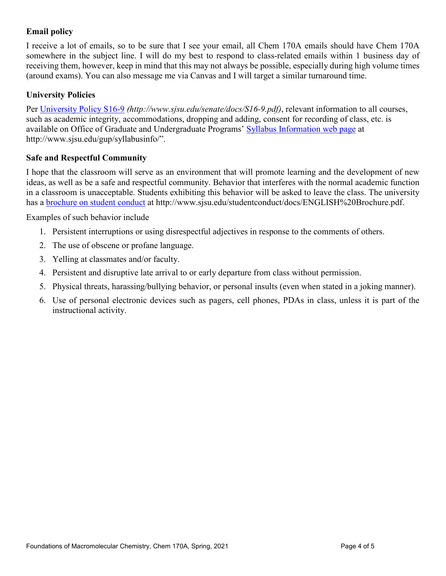# **Email policy**

I receive a lot of emails, so to be sure that I see your email, all Chem 170A emails should have Chem 170A somewhere in the subject line. I will do my best to respond to class-related emails within 1 business day of receiving them, however, keep in mind that this may not always be possible, especially during high volume times (around exams). You can also message me via Canvas and I will target a similar turnaround time.

# **University Policies**

Per [University Policy S16-9](http://www.sjsu.edu/senate/docs/S16-9.pdf) *(http://www.sjsu.edu/senate/docs/S16-9.pdf)*, relevant information to all courses, such as academic integrity, accommodations, dropping and adding, consent for recording of class, etc. is available on Office of Graduate and Undergraduate Programs' [Syllabus Information web page](http://www.sjsu.edu/gup/syllabusinfo/) at http://www.sjsu.edu/gup/syllabusinfo/".

# **Safe and Respectful Community**

I hope that the classroom will serve as an environment that will promote learning and the development of new ideas, as well as be a safe and respectful community. Behavior that interferes with the normal academic function in a classroom is unacceptable. Students exhibiting this behavior will be asked to leave the class. The university has a [brochure on student conduct](http://www.sjsu.edu/studentconduct/docs/ENGLISH%20Brochure.pdf) at http://www.sjsu.edu/studentconduct/docs/ENGLISH%20Brochure.pdf.

Examples of such behavior include

- 1. Persistent interruptions or using disrespectful adjectives in response to the comments of others.
- 2. The use of obscene or profane language.
- 3. Yelling at classmates and/or faculty.
- 4. Persistent and disruptive late arrival to or early departure from class without permission.
- 5. Physical threats, harassing/bullying behavior, or personal insults (even when stated in a joking manner).
- 6. Use of personal electronic devices such as pagers, cell phones, PDAs in class, unless it is part of the instructional activity.